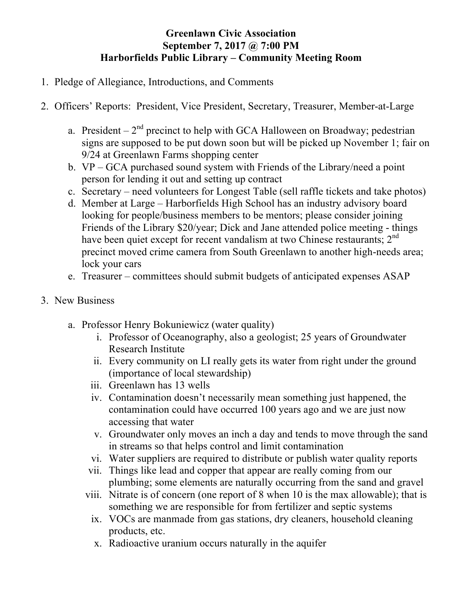## **Greenlawn Civic Association September 7, 2017 @ 7:00 PM Harborfields Public Library – Community Meeting Room**

- 1. Pledge of Allegiance, Introductions, and Comments
- 2. Officers' Reports: President, Vice President, Secretary, Treasurer, Member-at-Large
	- a. President  $2<sup>nd</sup>$  precinct to help with GCA Halloween on Broadway; pedestrian signs are supposed to be put down soon but will be picked up November 1; fair on 9/24 at Greenlawn Farms shopping center
	- b. VP GCA purchased sound system with Friends of the Library/need a point person for lending it out and setting up contract
	- c. Secretary need volunteers for Longest Table (sell raffle tickets and take photos)
	- d. Member at Large Harborfields High School has an industry advisory board looking for people/business members to be mentors; please consider joining Friends of the Library \$20/year; Dick and Jane attended police meeting - things have been quiet except for recent vandalism at two Chinese restaurants; 2<sup>nd</sup> precinct moved crime camera from South Greenlawn to another high-needs area; lock your cars
	- e. Treasurer committees should submit budgets of anticipated expenses ASAP
- 3. New Business
	- a. Professor Henry Bokuniewicz (water quality)
		- i. Professor of Oceanography, also a geologist; 25 years of Groundwater Research Institute
		- ii. Every community on LI really gets its water from right under the ground (importance of local stewardship)
		- iii. Greenlawn has 13 wells
		- iv. Contamination doesn't necessarily mean something just happened, the contamination could have occurred 100 years ago and we are just now accessing that water
		- v. Groundwater only moves an inch a day and tends to move through the sand in streams so that helps control and limit contamination
		- vi. Water suppliers are required to distribute or publish water quality reports
		- vii. Things like lead and copper that appear are really coming from our plumbing; some elements are naturally occurring from the sand and gravel
		- viii. Nitrate is of concern (one report of 8 when 10 is the max allowable); that is something we are responsible for from fertilizer and septic systems
			- ix. VOCs are manmade from gas stations, dry cleaners, household cleaning products, etc.
			- x. Radioactive uranium occurs naturally in the aquifer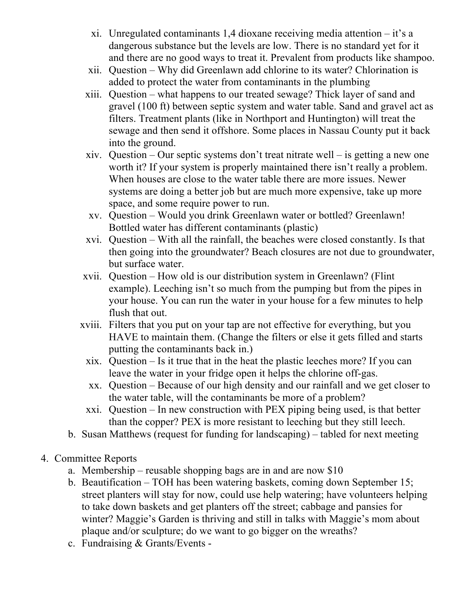- xi. Unregulated contaminants 1,4 dioxane receiving media attention it's a dangerous substance but the levels are low. There is no standard yet for it and there are no good ways to treat it. Prevalent from products like shampoo.
- xii. Question Why did Greenlawn add chlorine to its water? Chlorination is added to protect the water from contaminants in the plumbing
- xiii. Question what happens to our treated sewage? Thick layer of sand and gravel (100 ft) between septic system and water table. Sand and gravel act as filters. Treatment plants (like in Northport and Huntington) will treat the sewage and then send it offshore. Some places in Nassau County put it back into the ground.
- xiv. Question Our septic systems don't treat nitrate well is getting a new one worth it? If your system is properly maintained there isn't really a problem. When houses are close to the water table there are more issues. Newer systems are doing a better job but are much more expensive, take up more space, and some require power to run.
- xv. Question Would you drink Greenlawn water or bottled? Greenlawn! Bottled water has different contaminants (plastic)
- xvi. Question With all the rainfall, the beaches were closed constantly. Is that then going into the groundwater? Beach closures are not due to groundwater, but surface water.
- xvii. Question How old is our distribution system in Greenlawn? (Flint example). Leeching isn't so much from the pumping but from the pipes in your house. You can run the water in your house for a few minutes to help flush that out.
- xviii. Filters that you put on your tap are not effective for everything, but you HAVE to maintain them. (Change the filters or else it gets filled and starts putting the contaminants back in.)
	- xix. Question Is it true that in the heat the plastic leeches more? If you can leave the water in your fridge open it helps the chlorine off-gas.
	- xx. Question Because of our high density and our rainfall and we get closer to the water table, will the contaminants be more of a problem?
- xxi. Question In new construction with PEX piping being used, is that better than the copper? PEX is more resistant to leeching but they still leech.
- b. Susan Matthews (request for funding for landscaping) tabled for next meeting
- 4. Committee Reports
	- a. Membership reusable shopping bags are in and are now \$10
	- b. Beautification TOH has been watering baskets, coming down September 15; street planters will stay for now, could use help watering; have volunteers helping to take down baskets and get planters off the street; cabbage and pansies for winter? Maggie's Garden is thriving and still in talks with Maggie's mom about plaque and/or sculpture; do we want to go bigger on the wreaths?
	- c. Fundraising & Grants/Events -